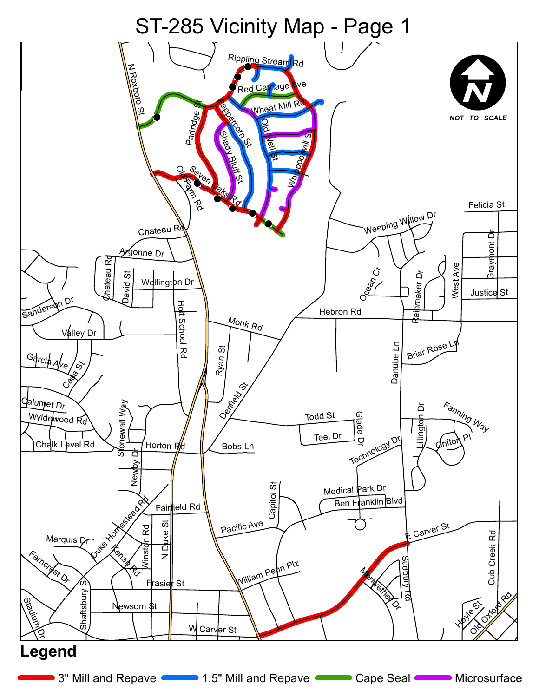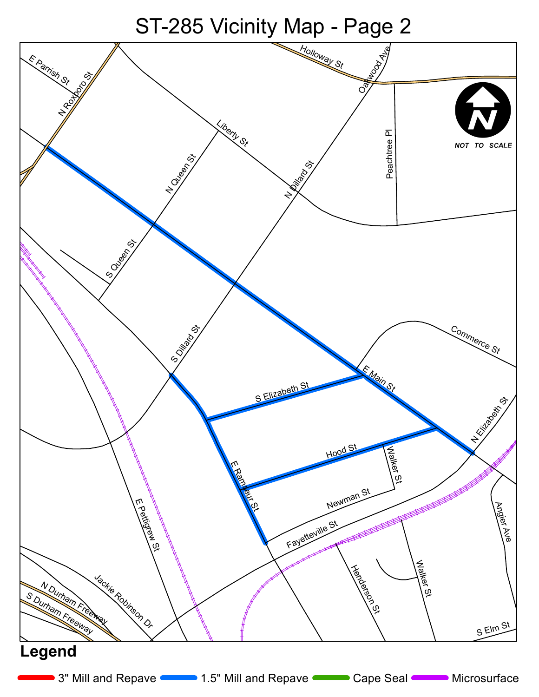ST-285 Vicinity Map - Page 2

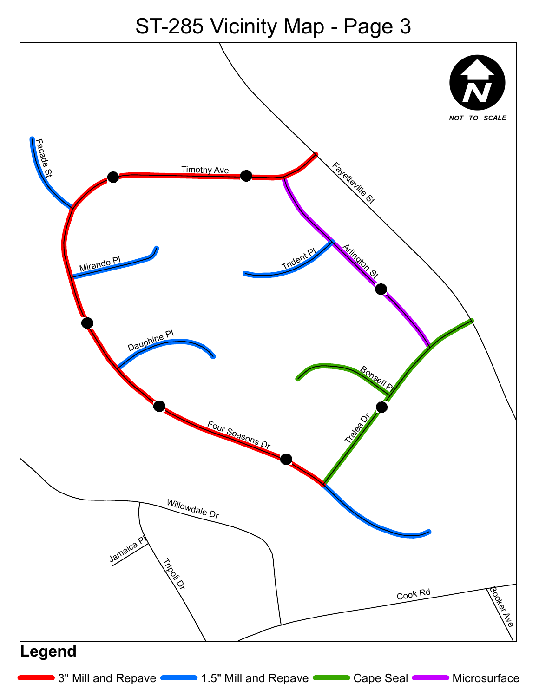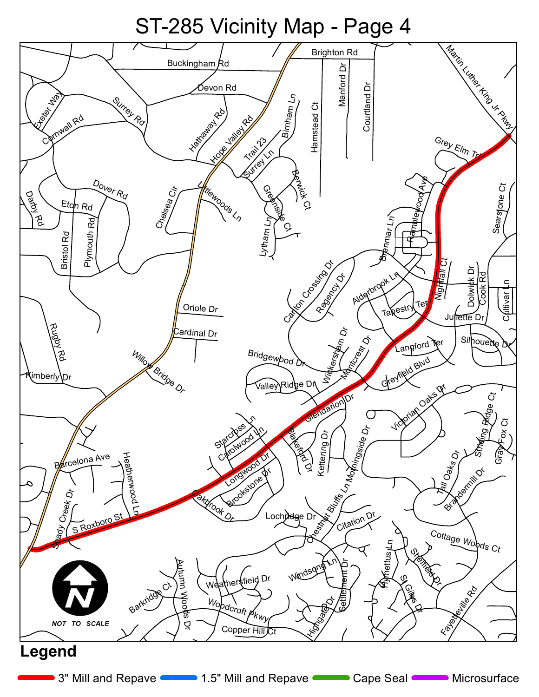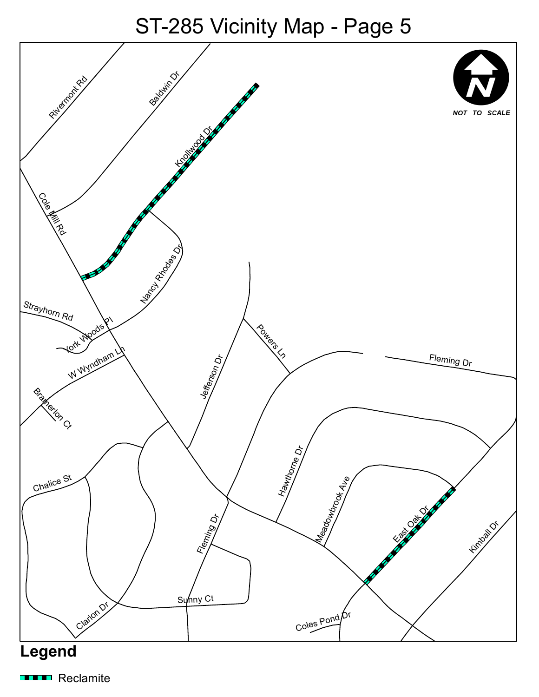

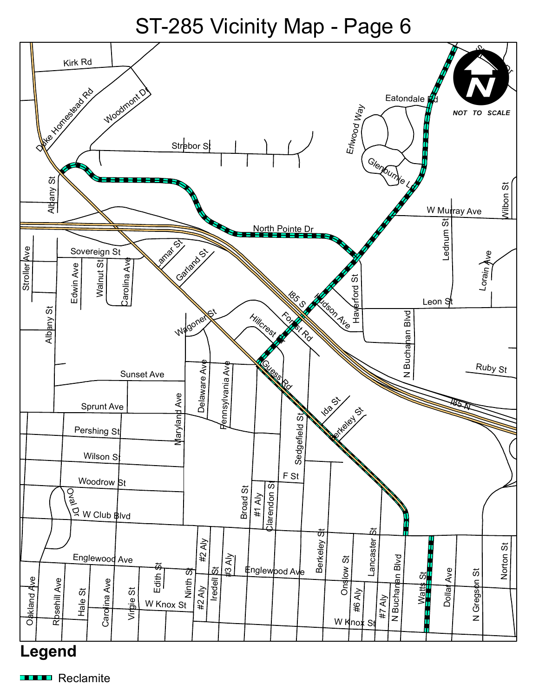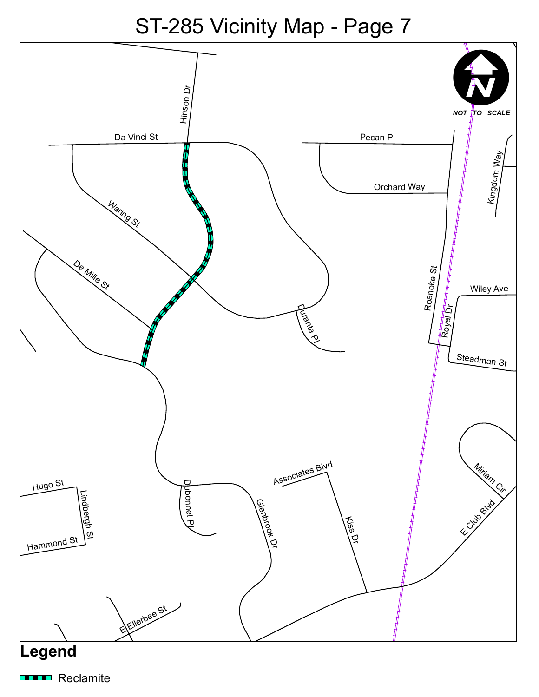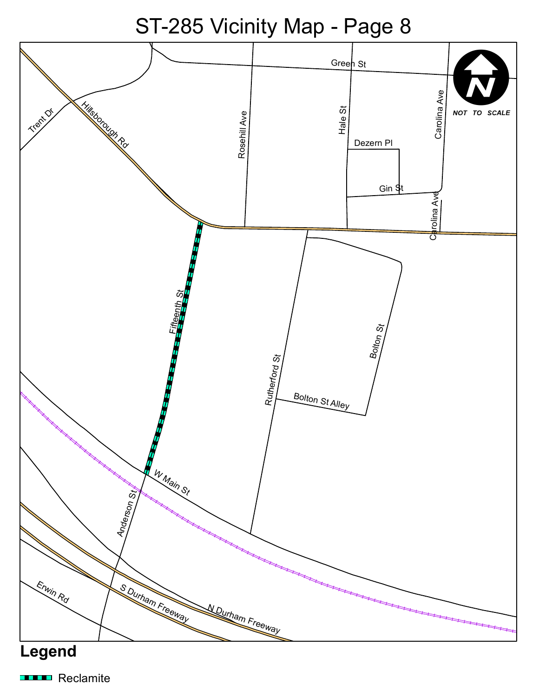ST-285 Vicinity Map - Page 8



![](_page_7_Figure_2.jpeg)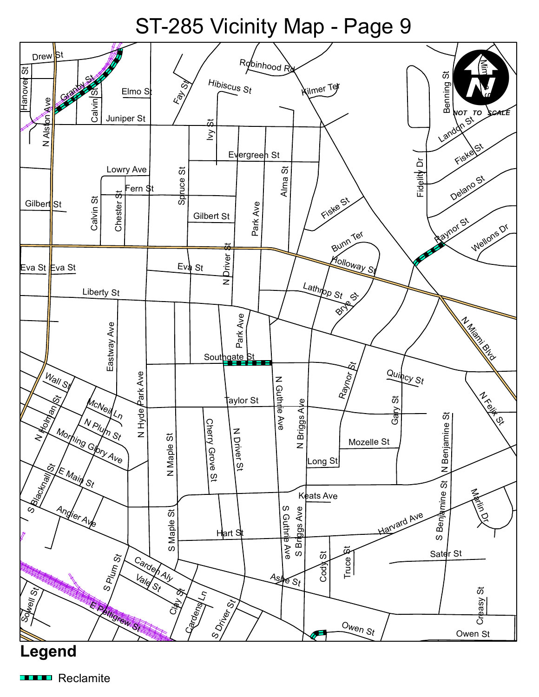![](_page_8_Figure_1.jpeg)

![](_page_8_Picture_2.jpeg)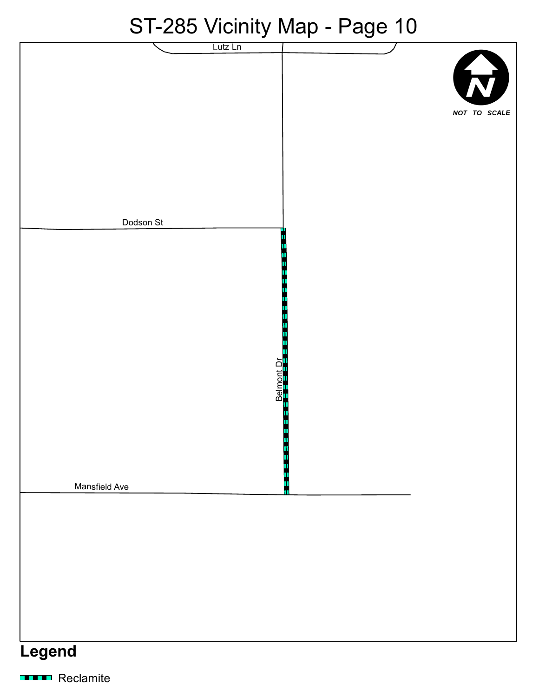#### ST<sub>-285</sub> Vicinity Man - Page 10

| OT-200 VIGHTLY MAP - LAGE TO |                          |
|------------------------------|--------------------------|
| Lutz Ln                      | <b>R</b><br>NOT TO SCALE |
| Dodson St                    |                          |
| Belmont Dr.                  | П                        |
| Mansfield Ave                | Ш                        |
| Legend                       |                          |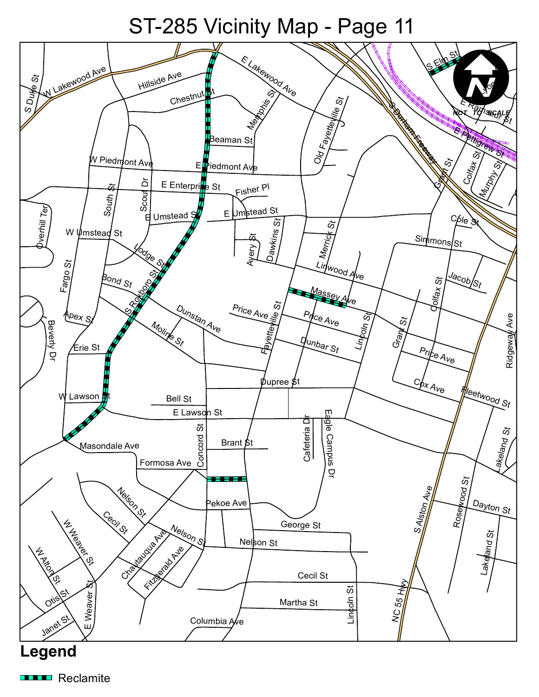![](_page_10_Picture_1.jpeg)

![](_page_10_Figure_2.jpeg)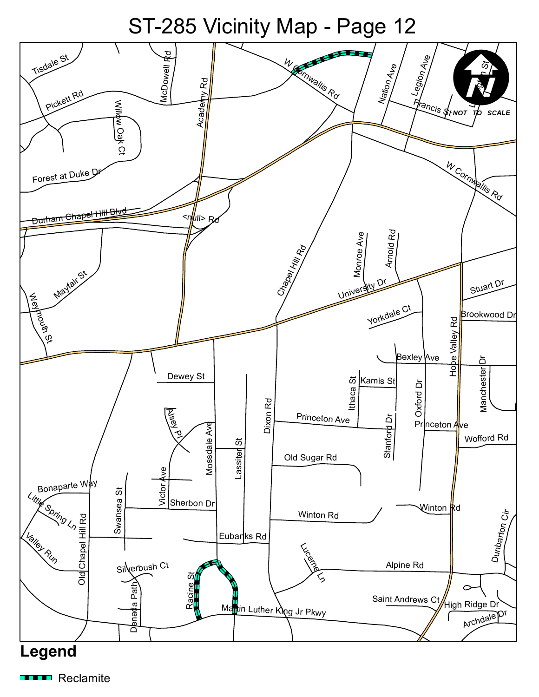![](_page_11_Figure_1.jpeg)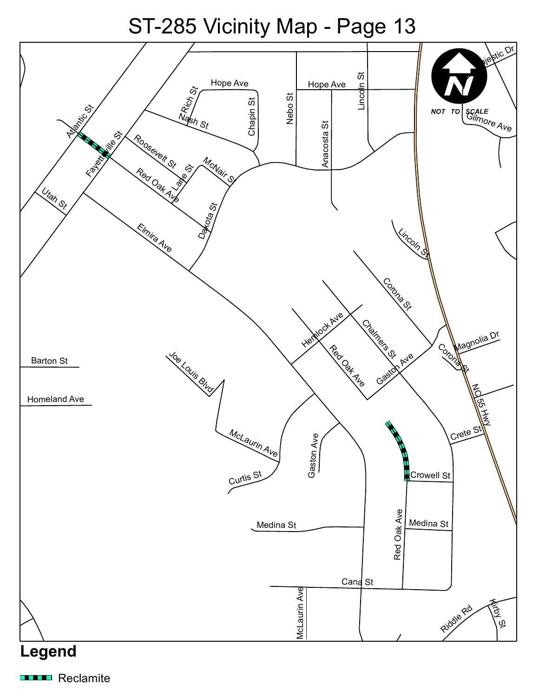![](_page_12_Figure_1.jpeg)

#### **Legend**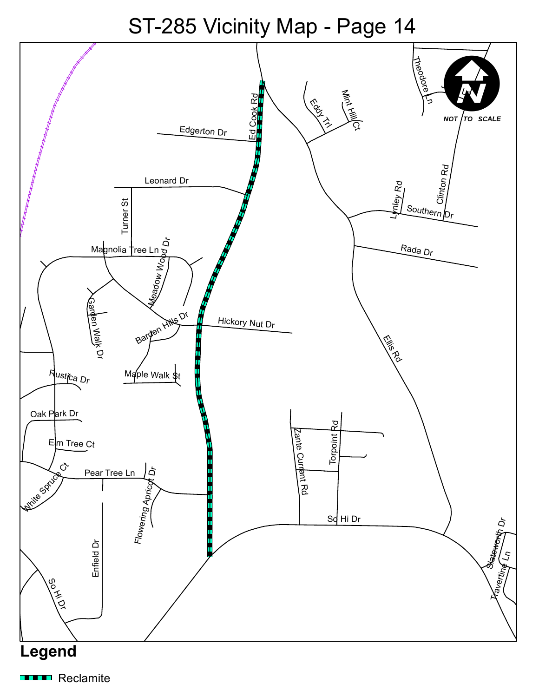![](_page_13_Figure_1.jpeg)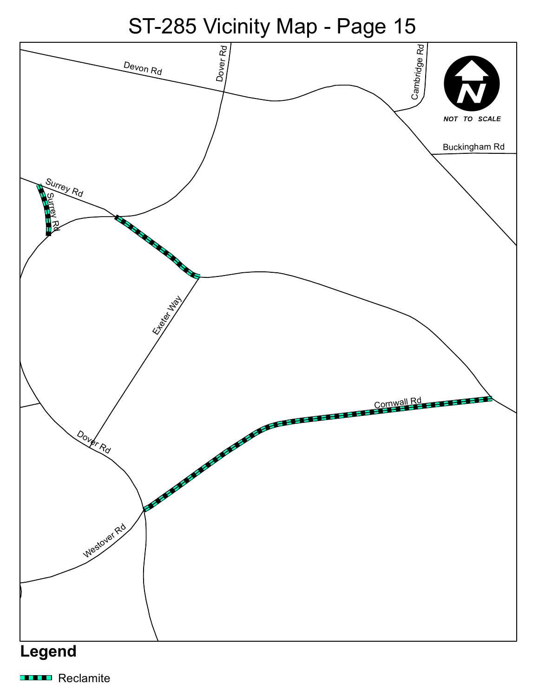ST-285 Vicinity Map - Page 15

![](_page_14_Figure_1.jpeg)

![](_page_14_Figure_2.jpeg)